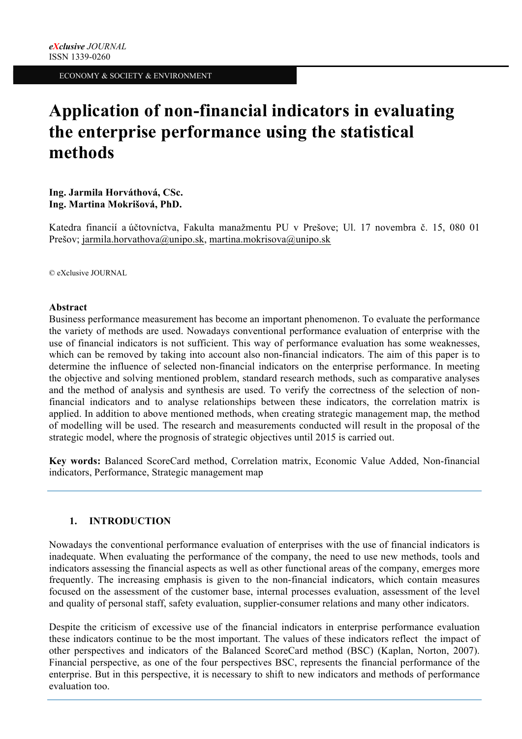# **Application of non-financial indicators in evaluating the enterprise performance using the statistical methods**

**Ing. Jarmila Horváthová, CSc. Ing. Martina Mokrišová, PhD.**

Katedra financií a účtovníctva, Fakulta manažmentu PU v Prešove; Ul. 17 novembra č. 15, 080 01 Prešov; jarmila.horvathova@unipo.sk, martina.mokrisova@unipo.sk

© eXclusive JOURNAL

### **Abstract**

Business performance measurement has become an important phenomenon. To evaluate the performance the variety of methods are used. Nowadays conventional performance evaluation of enterprise with the use of financial indicators is not sufficient. This way of performance evaluation has some weaknesses, which can be removed by taking into account also non-financial indicators. The aim of this paper is to determine the influence of selected non-financial indicators on the enterprise performance. In meeting the objective and solving mentioned problem, standard research methods, such as comparative analyses and the method of analysis and synthesis are used. To verify the correctness of the selection of nonfinancial indicators and to analyse relationships between these indicators, the correlation matrix is applied. In addition to above mentioned methods, when creating strategic management map, the method of modelling will be used. The research and measurements conducted will result in the proposal of the strategic model, where the prognosis of strategic objectives until 2015 is carried out.

**Key words:** Balanced ScoreCard method, Correlation matrix, Economic Value Added, Non-financial indicators, Performance, Strategic management map

### **1. INTRODUCTION**

Nowadays the conventional performance evaluation of enterprises with the use of financial indicators is inadequate. When evaluating the performance of the company, the need to use new methods, tools and indicators assessing the financial aspects as well as other functional areas of the company, emerges more frequently. The increasing emphasis is given to the non-financial indicators, which contain measures focused on the assessment of the customer base, internal processes evaluation, assessment of the level and quality of personal staff, safety evaluation, supplier-consumer relations and many other indicators.

Despite the criticism of excessive use of the financial indicators in enterprise performance evaluation these indicators continue to be the most important. The values of these indicators reflect the impact of other perspectives and indicators of the Balanced ScoreCard method (BSC) (Kaplan, Norton, 2007). Financial perspective, as one of the four perspectives BSC, represents the financial performance of the enterprise. But in this perspective, it is necessary to shift to new indicators and methods of performance evaluation too.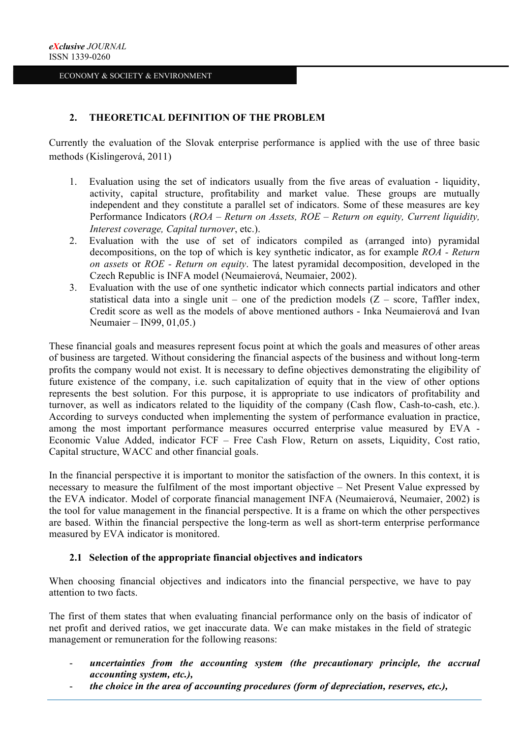### **2. THEORETICAL DEFINITION OF THE PROBLEM**

Currently the evaluation of the Slovak enterprise performance is applied with the use of three basic methods (Kislingerová, 2011)

- 1. Evaluation using the set of indicators usually from the five areas of evaluation liquidity, activity, capital structure, profitability and market value. These groups are mutually independent and they constitute a parallel set of indicators. Some of these measures are key Performance Indicators (*ROA – Return on Assets, ROE – Return on equity, Current liquidity, Interest coverage, Capital turnover*, etc.).
- 2. Evaluation with the use of set of indicators compiled as (arranged into) pyramidal decompositions, on the top of which is key synthetic indicator, as for example *ROA - Return on assets* or *ROE - Return on equity*. The latest pyramidal decomposition, developed in the Czech Republic is INFA model (Neumaierová, Neumaier, 2002).
- 3. Evaluation with the use of one synthetic indicator which connects partial indicators and other statistical data into a single unit – one of the prediction models  $(Z - score)$ . Taffler index, Credit score as well as the models of above mentioned authors - Inka Neumaierová and Ivan Neumaier – IN99, 01,05.)

These financial goals and measures represent focus point at which the goals and measures of other areas of business are targeted. Without considering the financial aspects of the business and without long-term profits the company would not exist. It is necessary to define objectives demonstrating the eligibility of future existence of the company, i.e. such capitalization of equity that in the view of other options represents the best solution. For this purpose, it is appropriate to use indicators of profitability and turnover, as well as indicators related to the liquidity of the company (Cash flow, Cash-to-cash, etc.). According to surveys conducted when implementing the system of performance evaluation in practice, among the most important performance measures occurred enterprise value measured by EVA - Economic Value Added, indicator FCF – Free Cash Flow, Return on assets, Liquidity, Cost ratio, Capital structure, WACC and other financial goals.

In the financial perspective it is important to monitor the satisfaction of the owners. In this context, it is necessary to measure the fulfilment of the most important objective – Net Present Value expressed by the EVA indicator. Model of corporate financial management INFA (Neumaierová, Neumaier, 2002) is the tool for value management in the financial perspective. It is a frame on which the other perspectives are based. Within the financial perspective the long-term as well as short-term enterprise performance measured by EVA indicator is monitored.

### **2.1 Selection of the appropriate financial objectives and indicators**

When choosing financial objectives and indicators into the financial perspective, we have to pay attention to two facts.

The first of them states that when evaluating financial performance only on the basis of indicator of net profit and derived ratios, we get inaccurate data. We can make mistakes in the field of strategic management or remuneration for the following reasons:

- *uncertainties from the accounting system (the precautionary principle, the accrual accounting system, etc.),*
- *the choice in the area of accounting procedures (form of depreciation, reserves, etc.),*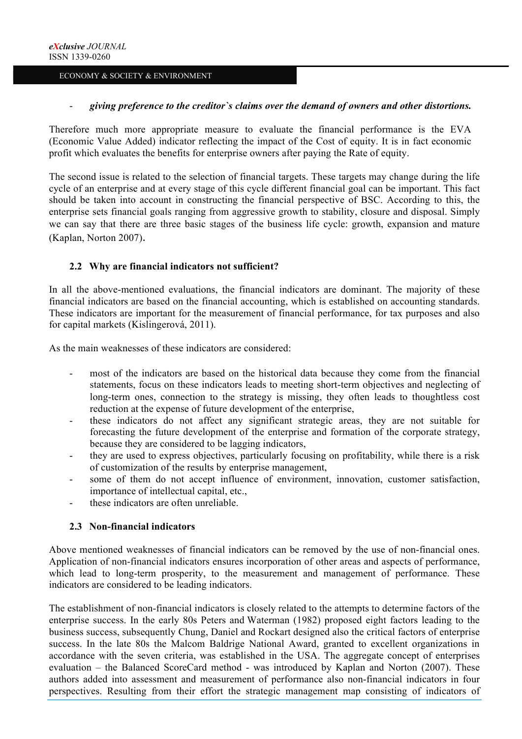### - *giving preference to the creditor`s claims over the demand of owners and other distortions.*

Therefore much more appropriate measure to evaluate the financial performance is the EVA (Economic Value Added) indicator reflecting the impact of the Cost of equity. It is in fact economic profit which evaluates the benefits for enterprise owners after paying the Rate of equity.

The second issue is related to the selection of financial targets. These targets may change during the life cycle of an enterprise and at every stage of this cycle different financial goal can be important. This fact should be taken into account in constructing the financial perspective of BSC. According to this, the enterprise sets financial goals ranging from aggressive growth to stability, closure and disposal. Simply we can say that there are three basic stages of the business life cycle: growth, expansion and mature (Kaplan, Norton 2007).

### **2.2 Why are financial indicators not sufficient?**

In all the above-mentioned evaluations, the financial indicators are dominant. The majority of these financial indicators are based on the financial accounting, which is established on accounting standards. These indicators are important for the measurement of financial performance, for tax purposes and also for capital markets (Kislingerová, 2011).

As the main weaknesses of these indicators are considered:

- most of the indicators are based on the historical data because they come from the financial statements, focus on these indicators leads to meeting short-term objectives and neglecting of long-term ones, connection to the strategy is missing, they often leads to thoughtless cost reduction at the expense of future development of the enterprise,
- these indicators do not affect any significant strategic areas, they are not suitable for forecasting the future development of the enterprise and formation of the corporate strategy, because they are considered to be lagging indicators,
- they are used to express objectives, particularly focusing on profitability, while there is a risk of customization of the results by enterprise management,
- some of them do not accept influence of environment, innovation, customer satisfaction, importance of intellectual capital, etc.,
- these indicators are often unreliable.

### **2.3 Non-financial indicators**

Above mentioned weaknesses of financial indicators can be removed by the use of non-financial ones. Application of non-financial indicators ensures incorporation of other areas and aspects of performance, which lead to long-term prosperity, to the measurement and management of performance. These indicators are considered to be leading indicators.

The establishment of non-financial indicators is closely related to the attempts to determine factors of the enterprise success. In the early 80s Peters and Waterman (1982) proposed eight factors leading to the business success, subsequently Chung, Daniel and Rockart designed also the critical factors of enterprise success. In the late 80s the Malcom Baldrige National Award, granted to excellent organizations in accordance with the seven criteria, was established in the USA. The aggregate concept of enterprises evaluation – the Balanced ScoreCard method - was introduced by Kaplan and Norton (2007). These authors added into assessment and measurement of performance also non-financial indicators in four perspectives. Resulting from their effort the strategic management map consisting of indicators of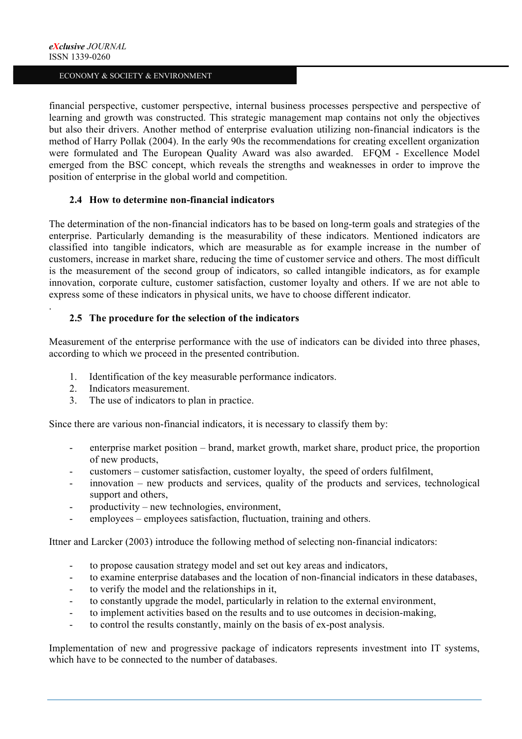.

### ECONOMY & SOCIETY & ENVIRONMENT

financial perspective, customer perspective, internal business processes perspective and perspective of learning and growth was constructed. This strategic management map contains not only the objectives but also their drivers. Another method of enterprise evaluation utilizing non-financial indicators is the method of Harry Pollak (2004). In the early 90s the recommendations for creating excellent organization were formulated and The European Quality Award was also awarded. EFOM - Excellence Model emerged from the BSC concept, which reveals the strengths and weaknesses in order to improve the position of enterprise in the global world and competition.

### **2.4 How to determine non-financial indicators**

The determination of the non-financial indicators has to be based on long-term goals and strategies of the enterprise. Particularly demanding is the measurability of these indicators. Mentioned indicators are classified into tangible indicators, which are measurable as for example increase in the number of customers, increase in market share, reducing the time of customer service and others. The most difficult is the measurement of the second group of indicators, so called intangible indicators, as for example innovation, corporate culture, customer satisfaction, customer loyalty and others. If we are not able to express some of these indicators in physical units, we have to choose different indicator.

### **2.5 The procedure for the selection of the indicators**

Measurement of the enterprise performance with the use of indicators can be divided into three phases, according to which we proceed in the presented contribution.

- 1. Identification of the key measurable performance indicators.
- 2. Indicators measurement.
- 3. The use of indicators to plan in practice.

Since there are various non-financial indicators, it is necessary to classify them by:

- enterprise market position brand, market growth, market share, product price, the proportion of new products,
- customers customer satisfaction, customer loyalty, the speed of orders fulfilment,
- innovation new products and services, quality of the products and services, technological support and others,
- productivity new technologies, environment,
- employees employees satisfaction, fluctuation, training and others.

Ittner and Larcker (2003) introduce the following method of selecting non-financial indicators:

- to propose causation strategy model and set out key areas and indicators,
- to examine enterprise databases and the location of non-financial indicators in these databases,
- to verify the model and the relationships in it,
- to constantly upgrade the model, particularly in relation to the external environment,
- to implement activities based on the results and to use outcomes in decision-making,
- to control the results constantly, mainly on the basis of ex-post analysis.

Implementation of new and progressive package of indicators represents investment into IT systems, which have to be connected to the number of databases.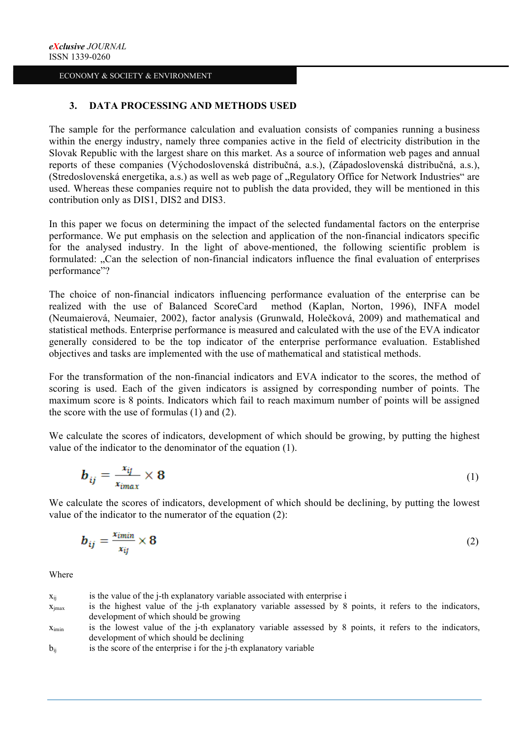# **3. DATA PROCESSING AND METHODS USED**

The sample for the performance calculation and evaluation consists of companies running a business within the energy industry, namely three companies active in the field of electricity distribution in the Slovak Republic with the largest share on this market. As a source of information web pages and annual reports of these companies (Východoslovenská distribučná, a.s.), (Západoslovenská distribučná, a.s.), (Stredoslovenská energetika, a.s.) as well as web page of "Regulatory Office for Network Industries" are used. Whereas these companies require not to publish the data provided, they will be mentioned in this contribution only as DIS1, DIS2 and DIS3.

In this paper we focus on determining the impact of the selected fundamental factors on the enterprise performance. We put emphasis on the selection and application of the non-financial indicators specific for the analysed industry. In the light of above-mentioned, the following scientific problem is formulated: ..Can the selection of non-financial indicators influence the final evaluation of enterprises performance"?

The choice of non-financial indicators influencing performance evaluation of the enterprise can be realized with the use of Balanced ScoreCard method (Kaplan, Norton, 1996), INFA model (Neumaierová, Neumaier, 2002), factor analysis (Grunwald, Holečková, 2009) and mathematical and statistical methods. Enterprise performance is measured and calculated with the use of the EVA indicator generally considered to be the top indicator of the enterprise performance evaluation. Established objectives and tasks are implemented with the use of mathematical and statistical methods.

For the transformation of the non-financial indicators and EVA indicator to the scores, the method of scoring is used. Each of the given indicators is assigned by corresponding number of points. The maximum score is 8 points. Indicators which fail to reach maximum number of points will be assigned the score with the use of formulas (1) and (2).

We calculate the scores of indicators, development of which should be growing, by putting the highest value of the indicator to the denominator of the equation (1).

$$
b_{ij} = \frac{x_{ij}}{x_{imax}} \times 8
$$
 (1)

We calculate the scores of indicators, development of which should be declining, by putting the lowest value of the indicator to the numerator of the equation (2):

$$
b_{ij} = \frac{x_{\text{imin}}}{x_{ij}} \times 8 \tag{2}
$$

Where

| $X_{ij}$ |  | is the value of the j-th explanatory variable associated with enterprise i |  |
|----------|--|----------------------------------------------------------------------------|--|
|----------|--|----------------------------------------------------------------------------|--|

 $x<sub>imax</sub>$  is the highest value of the j-th explanatory variable assessed by 8 points, it refers to the indicators, development of which should be growing

- $x_{\text{imin}}$  is the lowest value of the j-th explanatory variable assessed by 8 points, it refers to the indicators, development of which should be declining
- $b_{ii}$  is the score of the enterprise i for the j-th explanatory variable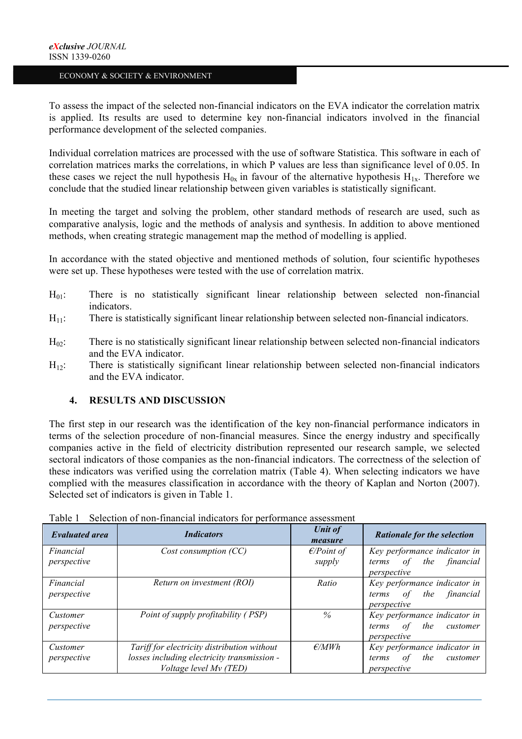To assess the impact of the selected non-financial indicators on the EVA indicator the correlation matrix is applied. Its results are used to determine key non-financial indicators involved in the financial performance development of the selected companies.

Individual correlation matrices are processed with the use of software Statistica. This software in each of correlation matrices marks the correlations, in which P values are less than significance level of 0.05. In these cases we reject the null hypothesis  $H_{0x}$  in favour of the alternative hypothesis  $H_{1x}$ . Therefore we conclude that the studied linear relationship between given variables is statistically significant.

In meeting the target and solving the problem, other standard methods of research are used, such as comparative analysis, logic and the methods of analysis and synthesis. In addition to above mentioned methods, when creating strategic management map the method of modelling is applied.

In accordance with the stated objective and mentioned methods of solution, four scientific hypotheses were set up. These hypotheses were tested with the use of correlation matrix.

- $H<sub>01</sub>$ : There is no statistically significant linear relationship between selected non-financial indicators.
- $H<sub>11</sub>$ : There is statistically significant linear relationship between selected non-financial indicators.
- $H<sub>02</sub>$ : There is no statistically significant linear relationship between selected non-financial indicators and the EVA indicator.
- $H_{12}$ : There is statistically significant linear relationship between selected non-financial indicators and the EVA indicator.

### **4. RESULTS AND DISCUSSION**

The first step in our research was the identification of the key non-financial performance indicators in terms of the selection procedure of non-financial measures. Since the energy industry and specifically companies active in the field of electricity distribution represented our research sample, we selected sectoral indicators of those companies as the non-financial indicators. The correctness of the selection of these indicators was verified using the correlation matrix (Table 4). When selecting indicators we have complied with the measures classification in accordance with the theory of Kaplan and Norton (2007). Selected set of indicators is given in Table 1.

| <b>Evaluated area</b>    | <b>Indicators</b>                                                                                                    | Unit of<br>measure        | Rationale for the selection                                                   |
|--------------------------|----------------------------------------------------------------------------------------------------------------------|---------------------------|-------------------------------------------------------------------------------|
| Financial<br>perspective | Cost consumption $(CC)$                                                                                              | $E\$ {Point of}<br>supply | Key performance indicator in<br>of the financial<br>terms<br>perspective      |
| Financial<br>perspective | Return on investment (ROI)                                                                                           | Ratio                     | Key performance indicator in<br>the financial<br>of<br>terms<br>perspective   |
| Customer<br>perspective  | Point of supply profitability (PSP)                                                                                  | $\%$                      | Key performance indicator in<br>the<br>customer<br>terms<br>οf<br>perspective |
| Customer<br>perspective  | Tariff for electricity distribution without<br>losses including electricity transmission -<br>Voltage level My (TED) | $\epsilon$ /MWh           | Key performance indicator in<br>the<br>οf<br>customer<br>terms<br>perspective |

Table 1 Selection of non-financial indicators for performance assessment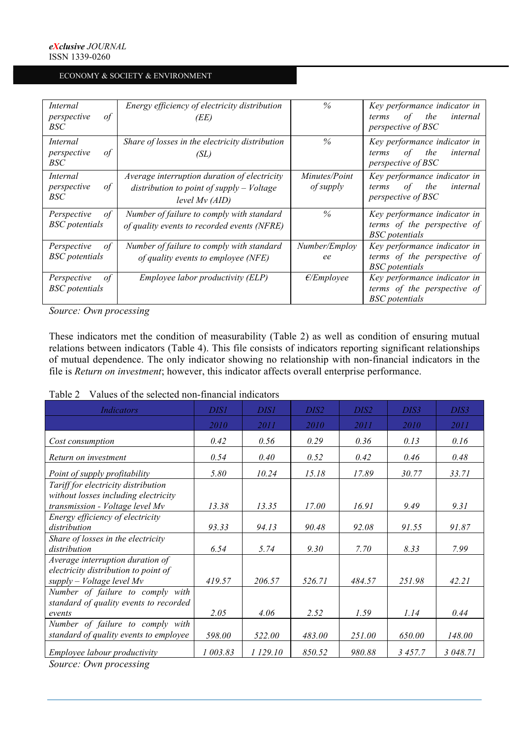#### *eXclusive JOURNAL* ISSN 1339-0260

### ECONOMY & SOCIETY & ENVIRONMENT

| Internal<br>perspective<br>of<br>BSC       | Energy efficiency of electricity distribution<br>(EE)                                                        | $\%$                       | Key performance indicator in<br>the<br>internal<br>οf<br>terms<br><i>perspective of BSC</i> |
|--------------------------------------------|--------------------------------------------------------------------------------------------------------------|----------------------------|---------------------------------------------------------------------------------------------|
| Internal<br>perspective<br>of<br>BSC       | Share of losses in the electricity distribution<br>(SL)                                                      | %                          | Key performance indicator in<br>the<br>of<br>internal<br>terms<br>perspective of BSC        |
| Internal<br>of<br>perspective<br>BSC       | Average interruption duration of electricity<br>distribution to point of supply $-Voltage$<br>level Mv (AID) | Minutes/Point<br>of supply | Key performance indicator in<br>of<br>the<br>internal<br>terms<br><i>perspective of BSC</i> |
| Perspective<br>of<br><b>BSC</b> potentials | Number of failure to comply with standard<br>of quality events to recorded events (NFRE)                     | $\%$                       | Key performance indicator in<br>terms of the perspective of<br><b>BSC</b> potentials        |
| Perspective<br>of<br><b>BSC</b> potentials | Number of failure to comply with standard<br>of quality events to employee (NFE)                             | Number/Employ<br>ee        | Key performance indicator in<br>terms of the perspective of<br><b>BSC</b> potentials        |
| Perspective<br>οf<br><b>BSC</b> potentials | Employee labor productivity (ELP)                                                                            | E/Emplovee                 | Key performance indicator in<br>terms of the perspective of<br><b>BSC</b> potentials        |

*Source: Own processing*

These indicators met the condition of measurability (Table 2) as well as condition of ensuring mutual relations between indicators (Table 4). This file consists of indicators reporting significant relationships of mutual dependence. The only indicator showing no relationship with non-financial indicators in the file is *Return on investment*; however, this indicator affects overall enterprise performance.

| Table 2 Values of the selected non-financial indicators |  |  |
|---------------------------------------------------------|--|--|
|                                                         |  |  |

| <b>Indicators</b>                                                           | <i>DIS1</i> | <i>DIS1</i> | DIS2   | DIS2   | DIS3    | DIS3     |
|-----------------------------------------------------------------------------|-------------|-------------|--------|--------|---------|----------|
|                                                                             | 2010        | 2011        | 2010   | 2011   | 2010    | 2011     |
| Cost consumption                                                            | 0.42        | 0.56        | 0.29   | 0.36   | 0.13    | 0.16     |
| Return on investment                                                        | 0.54        | 0.40        | 0.52   | 0.42   | 0.46    | 0.48     |
| Point of supply profitability                                               | 5.80        | 10.24       | 15.18  | 17.89  | 30.77   | 33.71    |
| Tariff for electricity distribution<br>without losses including electricity | 13.38       | 13.35       | 17.00  | 16.91  | 9.49    | 9.31     |
| transmission - Voltage level Mv<br>Energy efficiency of electricity         |             |             |        |        |         |          |
| distribution                                                                | 93.33       | 94.13       | 90.48  | 92.08  | 91.55   | 91.87    |
| Share of losses in the electricity<br>distribution                          | 6.54        | 5.74        | 9.30   | 7.70   | 8.33    | 7.99     |
| Average interruption duration of<br>electricity distribution to point of    |             |             |        |        |         |          |
| $supply - Voltage level My$                                                 | 419.57      | 206.57      | 526.71 | 484.57 | 251.98  | 42.21    |
| Number of failure to comply with<br>standard of quality events to recorded  |             |             |        |        |         |          |
| events                                                                      | 2.05        | 4.06        | 2.52   | 1.59   | 1.14    | 0.44     |
| Number of failure to comply with<br>standard of quality events to employee  | 598.00      | 522.00      | 483.00 | 251.00 | 650.00  | 148.00   |
| Employee labour productivity                                                | 1 003.83    | 1 129.10    | 850.52 | 980.88 | 3 457.7 | 3 048.71 |

*Source: Own processing*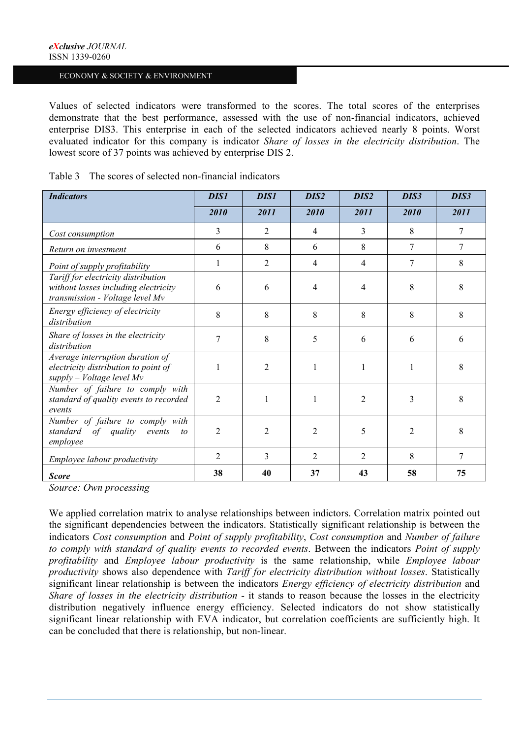Values of selected indicators were transformed to the scores. The total scores of the enterprises demonstrate that the best performance, assessed with the use of non-financial indicators, achieved enterprise DIS3. This enterprise in each of the selected indicators achieved nearly 8 points. Worst evaluated indicator for this company is indicator *Share of losses in the electricity distribution*. The lowest score of 37 points was achieved by enterprise DIS 2.

| <b>Indicators</b>                                                                                              | <b>DIS1</b>    | <b>DIS1</b>    | DIS2           | DIS <sub>2</sub> | DIS3           | DIS3 |
|----------------------------------------------------------------------------------------------------------------|----------------|----------------|----------------|------------------|----------------|------|
|                                                                                                                | 2010           | 2011           | 2010           | 2011             | 2010           | 2011 |
| Cost consumption                                                                                               | 3              | 2              | 4              | 3                | 8              | 7    |
| Return on investment                                                                                           | 6              | 8              | 6              | 8                | 7              | 7    |
| Point of supply profitability                                                                                  | 1              | $\overline{2}$ | $\overline{4}$ | $\overline{4}$   | 7              | 8    |
| Tariff for electricity distribution<br>without losses including electricity<br>transmission - Voltage level Mv | 6              | 6              | $\overline{4}$ | $\overline{4}$   | 8              | 8    |
| Energy efficiency of electricity<br>distribution                                                               | 8              | 8              | 8              | 8                | 8              | 8    |
| Share of losses in the electricity<br>distribution                                                             | 7              | 8              | 5              | 6                | 6              | 6    |
| Average interruption duration of<br>electricity distribution to point of<br>$supply - Voltage level My$        | 1              | $\overline{2}$ | $\mathbf{1}$   | 1                | 1              | 8    |
| Number of failure to comply with<br>standard of quality events to recorded<br>events                           | $\overline{2}$ | 1              | $\mathbf{1}$   | $\overline{2}$   | 3              | 8    |
| Number of failure to comply with<br>standard of quality events<br>to<br>employee                               | 2              | $\overline{2}$ | $\overline{2}$ | 5                | $\overline{c}$ | 8    |
| Employee labour productivity                                                                                   | $\overline{2}$ | $\mathcal{L}$  | $\mathfrak{D}$ | $\mathfrak{D}$   | 8              | 7    |
| <b>Score</b>                                                                                                   | 38             | 40             | 37             | 43               | 58             | 75   |

Table 3 The scores of selected non-financial indicators

*Source: Own processing*

We applied correlation matrix to analyse relationships between indictors. Correlation matrix pointed out the significant dependencies between the indicators. Statistically significant relationship is between the indicators *Cost consumption* and *Point of supply profitability*, *Cost consumption* and *Number of failure to comply with standard of quality events to recorded events*. Between the indicators *Point of supply profitability* and *Employee labour productivity* is the same relationship, while *Employee labour productivity* shows also dependence with *Tariff for electricity distribution without losses*. Statistically significant linear relationship is between the indicators *Energy efficiency of electricity distribution* and *Share of losses in the electricity distribution -* it stands to reason because the losses in the electricity distribution negatively influence energy efficiency. Selected indicators do not show statistically significant linear relationship with EVA indicator, but correlation coefficients are sufficiently high. It can be concluded that there is relationship, but non-linear.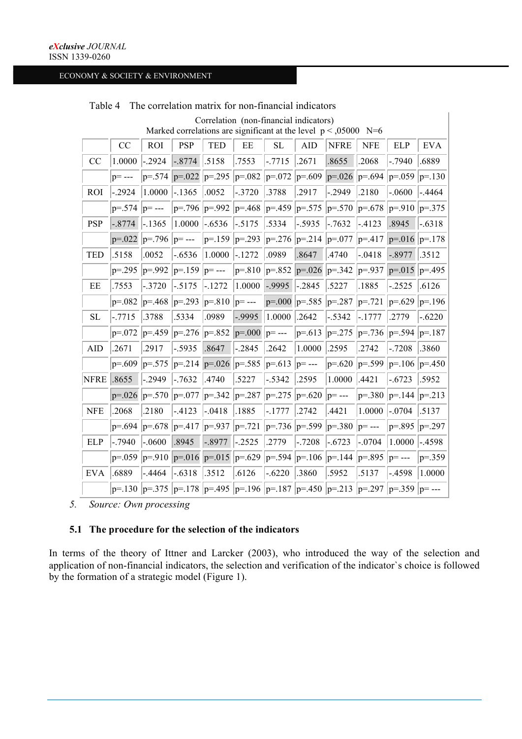|             | Correlation (non-financial indicators)<br>Marked correlations are significant at the level $p < 0.05000$ N=6 |             |                                                     |                            |           |                          |                                                                |                 |            |                    |            |  |
|-------------|--------------------------------------------------------------------------------------------------------------|-------------|-----------------------------------------------------|----------------------------|-----------|--------------------------|----------------------------------------------------------------|-----------------|------------|--------------------|------------|--|
|             |                                                                                                              |             |                                                     |                            |           |                          |                                                                |                 |            |                    |            |  |
|             | CC                                                                                                           | <b>ROI</b>  | <b>PSP</b>                                          | <b>TED</b>                 | EE        | <b>SL</b>                | AID                                                            | <b>NFRE</b>     | <b>NFE</b> | <b>ELP</b>         | <b>EVA</b> |  |
| CC          | 1.0000                                                                                                       | $-0.2924$   | $-.8774$                                            | .5158                      | .7553     | $-.7715$                 | .2671                                                          | .8655           | .2068      | $-.7940$           | .6889      |  |
|             | $n = -1$                                                                                                     | $p = 574$   | $ p=.022 p=.295 p=.082 p=.072 p=.609 p=.026 p=.694$ |                            |           |                          |                                                                |                 |            | $ p=0.059 p=.130$  |            |  |
| <b>ROI</b>  | $-.2924$                                                                                                     | 1.0000      | $-1365$                                             | .0052                      | $-.3720$  | .3788                    | .2917                                                          | $-2949$         | .2180      | $-.0600$           | $-.4464$   |  |
|             | $p = 574$                                                                                                    | $p =$ ---   |                                                     |                            |           |                          | $p=.796$ $p=.992$ $p=.468$ $p=.459$ $p=.575$ $p=.570$ $p=.678$ |                 |            | $ p=910 p=.375$    |            |  |
| <b>PSP</b>  | $-.8774$                                                                                                     | $-1365$     | 1.0000                                              | $-.6536$                   | $-.5175$  | .5334                    | $-.5935$                                                       | $-.7632$        | $-4123$    | .8945              | $-.6318$   |  |
|             | $p = 0.022$                                                                                                  | $ p=.796 $  | $ p=---$                                            | $ p=159 p=.293$            |           |                          | $ p=276 p=.214 p=.077 p=.417$                                  |                 |            | $ p=016 p=.178$    |            |  |
| <b>TED</b>  | .5158                                                                                                        | .0052       | $-.6536$                                            | 1.0000                     | $-1272$   | .0989                    | .8647                                                          | .4740           | $-.0418$   | $-.8977$           | .3512      |  |
|             | $p = 295$                                                                                                    | $ p=.992$   | $p=.159$ $ p=---$                                   |                            |           | $ p=.810 p=.852 p=.026 $ |                                                                | $ p=342 p=.937$ |            | $ p=015 p=.495$    |            |  |
| EE          | .7553                                                                                                        | $-.3720$    | $-.5175$                                            | $-.1272$                   | 1.0000    | $-.9995$                 | $-.2845$                                                       | .5227           | .1885      | $-.2525$           | .6126      |  |
|             | $p = 0.082$                                                                                                  | $p = 468$   | $p = 293$                                           | $ p=.810$                  | $ p=---$  | $p=.000$ $p=.585$        |                                                                | $p = 287$       | $ p=.721 $ | $p=.629$           | $ p=196$   |  |
| <b>SL</b>   | $-.7715$                                                                                                     | .3788       | .5334                                               | .0989                      | $-.9995$  | 1.0000                   | .2642                                                          | $-.5342$        | $-1777$    | .2779              | $-.6220$   |  |
|             | $p = 072$                                                                                                    | $p = 459$   |                                                     | $ p=276 p=.852 p=.000 $    |           | $ p=---$                 | $ p=.613 p=.275$                                               |                 | $ p=.736 $ | $ p=594 p=.187$    |            |  |
| <b>AID</b>  | .2671                                                                                                        | .2917       | -.5935                                              | .8647                      | $-.2845$  | .2642                    | 1.0000                                                         | .2595           | .2742      | $-.7208$           | .3860      |  |
|             | $p=.609$                                                                                                     | $ p=0.575 $ |                                                     | $p=.214$ $p=.026$ $p=.585$ |           | $ p=.613 p=---$          |                                                                | $ p=620 p=.599$ |            | $p=.106$ $p=.450$  |            |  |
| <b>NFRE</b> | .8655                                                                                                        | $-2949$     | $-.7632$                                            | .4740                      | .5227     | $-.5342$                 | .2595                                                          | 1.0000          | .4421      | $-.6723$           | .5952      |  |
|             |                                                                                                              |             | $ p=.026 p=.570 p=.077 p=.342 p=.287$               |                            |           |                          | $ p=275 p=.620 p=---$                                          |                 | $p = 380$  | $ p=144$ $ p=.213$ |            |  |
| <b>NFE</b>  | .2068                                                                                                        | .2180       | $-4123$                                             | $-.0418$                   | .1885     | $-1777$                  | .2742                                                          | .4421           | 1.0000     | $-.0704$           | .5137      |  |
|             | $p = 694$                                                                                                    | $ p=.678$   | $ p=.417 p=.937$                                    |                            | $ p=.721$ | $ p=736 p=.599 $         |                                                                | $ p=380 p=-$    |            | $p = 895$          | $ p=297$   |  |
| <b>ELP</b>  | $-0.7940$                                                                                                    | $-.0600$    | .8945                                               | $-.8977$                   | $-.2525$  | .2779                    | $-.7208$                                                       | $-.6723$        | $-.0704$   | 1.0000             | $-.4598$   |  |
|             | $p = 0.059$                                                                                                  | $ p=.910$   | $ p=.016$                                           | $ p=0.015 $                | $p=.629$  |                          | $ p=0.594 p=0.106 p=0.144 p=0.895$                             |                 |            | $p = - -$          | $p = 359$  |  |
| <b>EVA</b>  | .6889                                                                                                        | $-4464$     | $-.6318$                                            | 3512                       | .6126     | $-.6220$                 | .3860                                                          | .5952           | .5137      | $-.4598$           | 1.0000     |  |
|             | $p = 130$                                                                                                    | $ p=375$    |                                                     |                            |           |                          | $ p=178 p=.495 p=.196 p=.187 p=.450 p=.213 p=.297$             |                 |            | $p = 359$          | $p = - -$  |  |

| Table 4 The correlation matrix for non-financial indicators |  |  |
|-------------------------------------------------------------|--|--|
|                                                             |  |  |

*5. Source: Own processing*

# **5.1 The procedure for the selection of the indicators**

In terms of the theory of Ittner and Larcker (2003), who introduced the way of the selection and application of non-financial indicators, the selection and verification of the indicator`s choice is followed by the formation of a strategic model (Figure 1).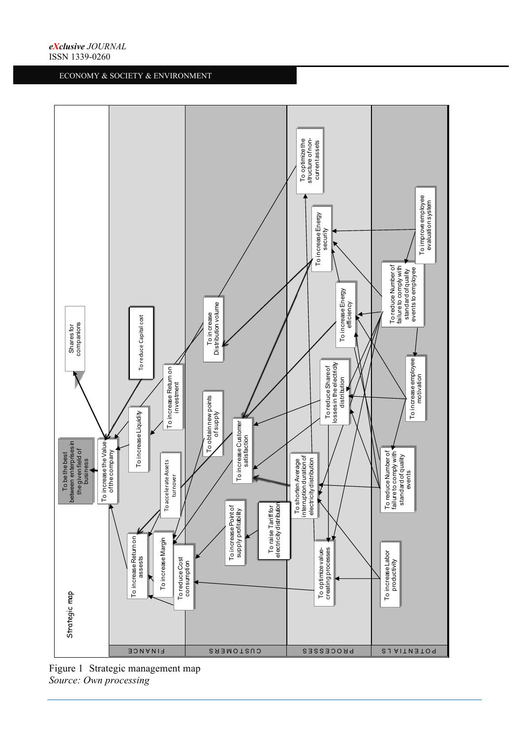

Figure 1 Strategic management map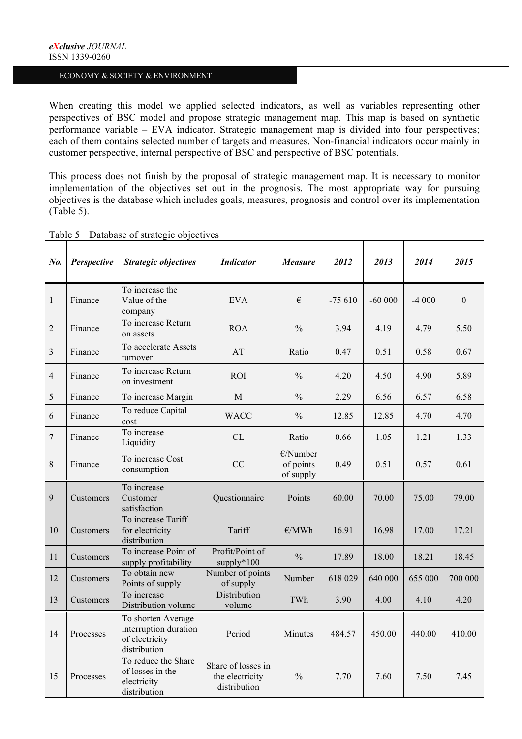When creating this model we applied selected indicators, as well as variables representing other perspectives of BSC model and propose strategic management map. This map is based on synthetic performance variable – EVA indicator. Strategic management map is divided into four perspectives; each of them contains selected number of targets and measures. Non-financial indicators occur mainly in customer perspective, internal perspective of BSC and perspective of BSC potentials.

This process does not finish by the proposal of strategic management map. It is necessary to monitor implementation of the objectives set out in the prognosis. The most appropriate way for pursuing objectives is the database which includes goals, measures, prognosis and control over its implementation (Table 5).

| No.            | Perspective      | Strategic objectives                                                          | <b>Indicator</b>                                      | <b>Measure</b>                        | 2012     | 2013     | 2014    | 2015     |
|----------------|------------------|-------------------------------------------------------------------------------|-------------------------------------------------------|---------------------------------------|----------|----------|---------|----------|
| $\mathbf{1}$   | Finance          | To increase the<br>Value of the<br>company                                    | <b>EVA</b>                                            | €                                     | $-75610$ | $-60000$ | $-4000$ | $\theta$ |
| $\overline{2}$ | Finance          | To increase Return<br>on assets                                               | <b>ROA</b>                                            | $\frac{0}{0}$                         | 3.94     | 4.19     | 4.79    | 5.50     |
| 3              | Finance          | To accelerate Assets<br>turnover                                              | AT                                                    | Ratio                                 | 0.47     | 0.51     | 0.58    | 0.67     |
| $\overline{4}$ | Finance          | To increase Return<br>on investment                                           | <b>ROI</b>                                            | $\frac{0}{0}$                         | 4.20     | 4.50     | 4.90    | 5.89     |
| 5              | Finance          | To increase Margin                                                            | M                                                     | $\frac{0}{0}$                         | 2.29     | 6.56     | 6.57    | 6.58     |
| 6              | Finance          | To reduce Capital<br>cost                                                     | <b>WACC</b>                                           | $\frac{0}{0}$                         | 12.85    | 12.85    | 4.70    | 4.70     |
| $\overline{7}$ | Finance          | To increase<br>Liquidity                                                      | CL                                                    | Ratio                                 | 0.66     | 1.05     | 1.21    | 1.33     |
| 8              | Finance          | To increase Cost<br>consumption                                               | CC                                                    | $E/N$ umber<br>of points<br>of supply | 0.49     | 0.51     | 0.57    | 0.61     |
| 9              | Customers        | To increase<br>Customer<br>satisfaction                                       | Questionnaire                                         | Points                                | 60.00    | 70.00    | 75.00   | 79.00    |
| 10             | Customers        | To increase Tariff<br>for electricity<br>distribution                         | Tariff                                                | E/MWh                                 | 16.91    | 16.98    | 17.00   | 17.21    |
| 11             | Customers        | To increase Point of<br>supply profitability                                  | Profit/Point of<br>$supply*100$                       | $\frac{0}{0}$                         | 17.89    | 18.00    | 18.21   | 18.45    |
| 12             | Customers        | To obtain new<br>Points of supply                                             | Number of points<br>of supply                         | Number                                | 618 029  | 640 000  | 655 000 | 700 000  |
| 13             | <b>Customers</b> | To increase<br>Distribution volume                                            | <b>Distribution</b><br>volume                         | <b>TWh</b>                            | 3.90     | 4.00     | 4.10    | 4.20     |
| 14             | Processes        | To shorten Average<br>interruption duration<br>of electricity<br>distribution | Period                                                | Minutes                               | 484.57   | 450.00   | 440.00  | 410.00   |
| 15             | Processes        | To reduce the Share<br>of losses in the<br>electricity<br>distribution        | Share of losses in<br>the electricity<br>distribution | $\frac{0}{0}$                         | 7.70     | 7.60     | 7.50    | 7.45     |

Table 5 Database of strategic objectives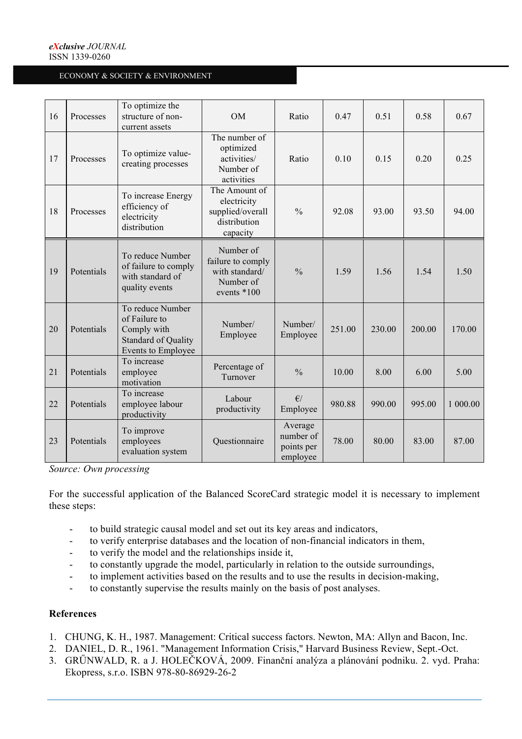| 16 | Processes  | To optimize the<br>structure of non-<br>current assets                                               | OM                                                                             | Ratio                                          | 0.47   | 0.51   | 0.58   | 0.67     |
|----|------------|------------------------------------------------------------------------------------------------------|--------------------------------------------------------------------------------|------------------------------------------------|--------|--------|--------|----------|
| 17 | Processes  | To optimize value-<br>creating processes                                                             | The number of<br>optimized<br>activities/<br>Number of<br>activities           | Ratio                                          | 0.10   | 0.15   | 0.20   | 0.25     |
| 18 | Processes  | To increase Energy<br>efficiency of<br>electricity<br>distribution                                   | The Amount of<br>electricity<br>supplied/overall<br>distribution<br>capacity   | $\frac{0}{0}$                                  | 92.08  | 93.00  | 93.50  | 94.00    |
| 19 | Potentials | To reduce Number<br>of failure to comply<br>with standard of<br>quality events                       | Number of<br>failure to comply<br>with standard/<br>Number of<br>events $*100$ | $\frac{0}{0}$                                  | 1.59   | 1.56   | 1.54   | 1.50     |
| 20 | Potentials | To reduce Number<br>of Failure to<br>Comply with<br><b>Standard of Quality</b><br>Events to Employee | Number/<br>Employee                                                            | Number/<br>Employee                            | 251.00 | 230.00 | 200.00 | 170.00   |
| 21 | Potentials | To increase<br>employee<br>motivation                                                                | Percentage of<br>Turnover                                                      | $\frac{0}{0}$                                  | 10.00  | 8.00   | 6.00   | 5.00     |
| 22 | Potentials | To increase<br>employee labour<br>productivity                                                       | Labour<br>productivity                                                         | $\epsilon$ /<br>Employee                       | 980.88 | 990.00 | 995.00 | 1 000 00 |
| 23 | Potentials | To improve<br>employees<br>evaluation system                                                         | Ouestionnaire                                                                  | Average<br>number of<br>points per<br>employee | 78.00  | 80.00  | 83.00  | 87.00    |

*Source: Own processing*

For the successful application of the Balanced ScoreCard strategic model it is necessary to implement these steps:

- to build strategic causal model and set out its key areas and indicators,
- to verify enterprise databases and the location of non-financial indicators in them,
- to verify the model and the relationships inside it,
- to constantly upgrade the model, particularly in relation to the outside surroundings,
- to implement activities based on the results and to use the results in decision-making,
- to constantly supervise the results mainly on the basis of post analyses.

## **References**

- 1. CHUNG, K. H., 1987. Management: Critical success factors. Newton, MA: Allyn and Bacon, Inc.
- 2. DANIEL, D. R., 1961. "Management Information Crisis," Harvard Business Review, Sept.-Oct.
- 3. GRŰNWALD, R. a J. HOLEČKOVÁ, 2009. Finanční analýza a plánování podniku. 2. vyd. Praha: Ekopress, s.r.o. ISBN 978-80-86929-26-2